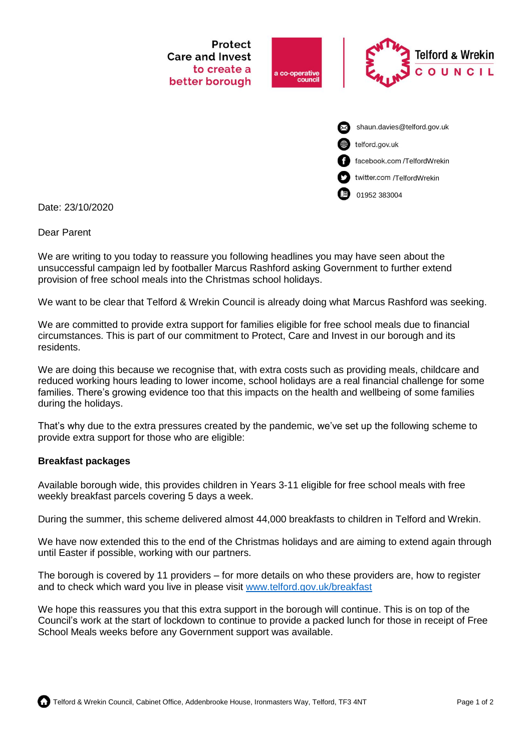

Date: 23/10/2020

## Dear Parent

We are writing to you today to reassure you following headlines you may have seen about the unsuccessful campaign led by footballer Marcus Rashford asking Government to further extend provision of free school meals into the Christmas school holidays.

We want to be clear that Telford & Wrekin Council is already doing what Marcus Rashford was seeking.

We are committed to provide extra support for families eligible for free school meals due to financial circumstances. This is part of our commitment to Protect, Care and Invest in our borough and its residents.

We are doing this because we recognise that, with extra costs such as providing meals, childcare and reduced working hours leading to lower income, school holidays are a real financial challenge for some families. There's growing evidence too that this impacts on the health and wellbeing of some families during the holidays.

That's why due to the extra pressures created by the pandemic, we've set up the following scheme to provide extra support for those who are eligible:

## **Breakfast packages**

Available borough wide, this provides children in Years 3-11 eligible for free school meals with free weekly breakfast parcels covering 5 days a week.

During the summer, this scheme delivered almost 44,000 breakfasts to children in Telford and Wrekin.

We have now extended this to the end of the Christmas holidays and are aiming to extend again through until Easter if possible, working with our partners.

The borough is covered by 11 providers – for more details on who these providers are, how to register and to check which ward you live in please visit [www.telford.gov.uk/breakfast](http://www.telford.gov.uk/breakfast)

We hope this reassures you that this extra support in the borough will continue. This is on top of the Council's work at the start of lockdown to continue to provide a packed lunch for those in receipt of Free School Meals weeks before any Government support was available.